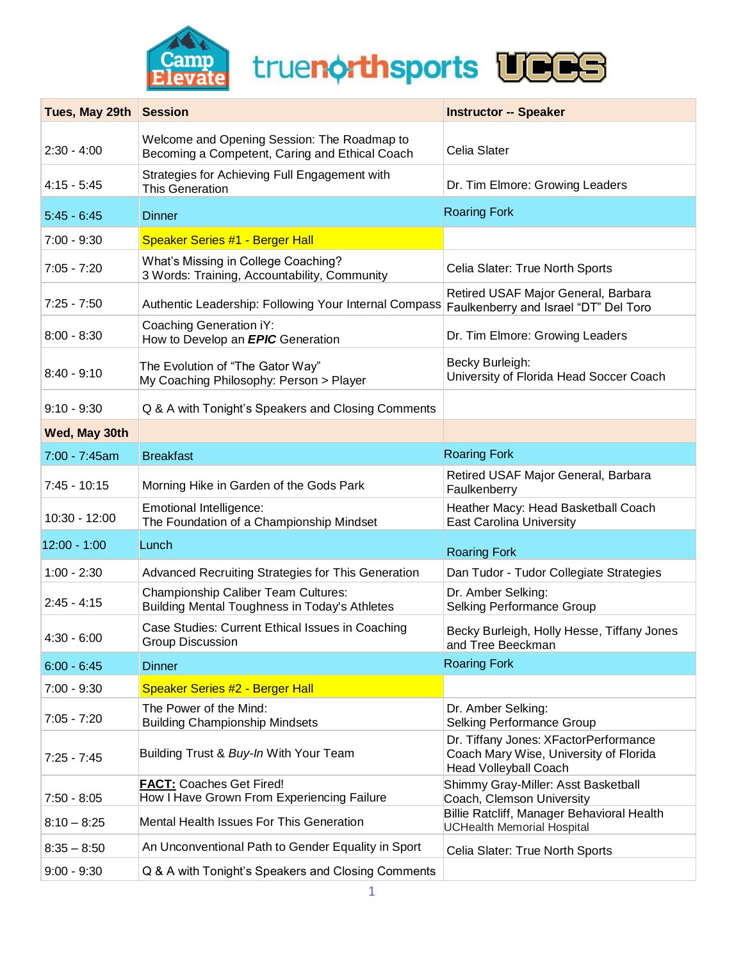

truenorthsports UCCS

| Tues, May 29th Session |                                                                                               | <b>Instructor -- Speaker</b>                                                                                    |
|------------------------|-----------------------------------------------------------------------------------------------|-----------------------------------------------------------------------------------------------------------------|
| $2:30 - 4:00$          | Welcome and Opening Session: The Roadmap to<br>Becoming a Competent, Caring and Ethical Coach | Celia Slater                                                                                                    |
| $4:15 - 5:45$          | Strategies for Achieving Full Engagement with<br><b>This Generation</b>                       | Dr. Tim Elmore: Growing Leaders                                                                                 |
| $5:45 - 6:45$          | <b>Dinner</b>                                                                                 | <b>Roaring Fork</b>                                                                                             |
| $7:00 - 9:30$          | <b>Speaker Series #1 - Berger Hall</b>                                                        |                                                                                                                 |
| $7:05 - 7:20$          | What's Missing in College Coaching?<br>3 Words: Training, Accountability, Community           | Celia Slater: True North Sports                                                                                 |
| $7:25 - 7:50$          | Authentic Leadership: Following Your Internal Compass                                         | Retired USAF Major General, Barbara<br>Faulkenberry and Israel "DT" Del Toro                                    |
| $8:00 - 8:30$          | Coaching Generation iY:<br>How to Develop an <b>EPIC</b> Generation                           | Dr. Tim Elmore: Growing Leaders                                                                                 |
| $8:40 - 9:10$          | The Evolution of "The Gator Way"<br>My Coaching Philosophy: Person > Player                   | Becky Burleigh:<br>University of Florida Head Soccer Coach                                                      |
| $9:10 - 9:30$          | Q & A with Tonight's Speakers and Closing Comments                                            |                                                                                                                 |
| Wed, May 30th          |                                                                                               |                                                                                                                 |
| 7:00 - 7:45am          | <b>Breakfast</b>                                                                              | <b>Roaring Fork</b>                                                                                             |
| $7:45 - 10:15$         | Morning Hike in Garden of the Gods Park                                                       | Retired USAF Major General, Barbara<br>Faulkenberry                                                             |
| $10:30 - 12:00$        | Emotional Intelligence:<br>The Foundation of a Championship Mindset                           | Heather Macy: Head Basketball Coach<br><b>East Carolina University</b>                                          |
| $12:00 - 1:00$         | Lunch                                                                                         | <b>Roaring Fork</b>                                                                                             |
| $1:00 - 2:30$          | Advanced Recruiting Strategies for This Generation                                            | Dan Tudor - Tudor Collegiate Strategies                                                                         |
| $2:45 - 4:15$          | <b>Championship Caliber Team Cultures:</b><br>Building Mental Toughness in Today's Athletes   | Dr. Amber Selking:<br>Selking Performance Group                                                                 |
| $4:30 - 6:00$          | Case Studies: Current Ethical Issues in Coaching<br>Group Discussion                          | Becky Burleigh, Holly Hesse, Tiffany Jones<br>and Tree Beeckman                                                 |
| $6:00 - 6:45$          | <b>Dinner</b>                                                                                 | <b>Roaring Fork</b>                                                                                             |
| $7:00 - 9:30$          | <b>Speaker Series #2 - Berger Hall</b>                                                        |                                                                                                                 |
| $7:05 - 7:20$          | The Power of the Mind:<br><b>Building Championship Mindsets</b>                               | Dr. Amber Selking:<br><b>Selking Performance Group</b>                                                          |
| $7:25 - 7:45$          | Building Trust & Buy-In With Your Team                                                        | Dr. Tiffany Jones: XFactorPerformance<br>Coach Mary Wise, University of Florida<br><b>Head Volleyball Coach</b> |
| $7:50 - 8:05$          | <b>FACT: Coaches Get Fired!</b><br>How I Have Grown From Experiencing Failure                 | Shimmy Gray-Miller: Asst Basketball<br>Coach, Clemson University                                                |
| $8:10 - 8:25$          | Mental Health Issues For This Generation                                                      | Billie Ratcliff, Manager Behavioral Health<br><b>UCHealth Memorial Hospital</b>                                 |
| $8:35 - 8:50$          | An Unconventional Path to Gender Equality in Sport                                            | Celia Slater: True North Sports                                                                                 |
| $9:00 - 9:30$          | Q & A with Tonight's Speakers and Closing Comments                                            |                                                                                                                 |